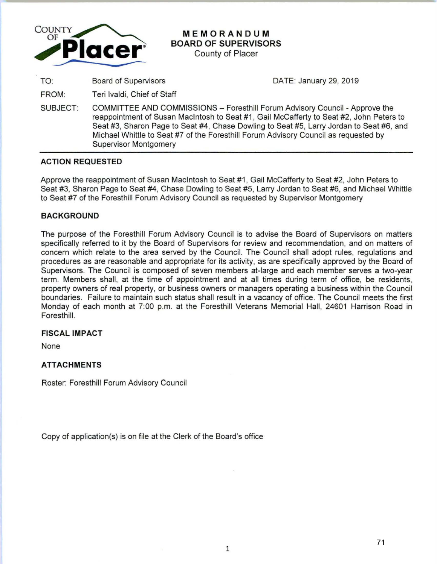

# **MEMORANDUM BOARD OF SUPERVISORS**

County of Placer

TO:

Board of Supervisors **DATE: January 29, 2019** 

FROM: Teri lvaldi, Chief of Staff

SUBJECT: COMMITTEE AND COMMISSIONS - Foresthill Forum Advisory Council -Approve the reappointment of Susan Macintosh to Seat #1 , Gail McCafferty to Seat #2, John Peters to Seat #3, Sharon Page to Seat #4, Chase Dowling to Seat #5, Larry Jordan to Seat #6, and Michael Whittle to Seat #7 of the Foresthill Forum Advisory Council as requested by Supervisor Montgomery

# **ACTION REQUESTED**

Approve the reappointment of Susan Macintosh to Seat #1 , Gail McCafferty to Seat #2, John Peters to Seat #3, Sharon Page to Seat #4, Chase Dowling to Seat #5, Larry Jordan to Seat #6, and Michael Whittle to Seat #7 of the Foresthill Forum Advisory Council as requested by Supervisor Montgomery

# **BACKGROUND**

The purpose of the Foresthill Forum Advisory Council is to advise the Board of Supervisors on matters specifically referred to it by the Board of Supervisors for review and recommendation, and on matters of concern which relate to the area served by the Council. The Council shall adopt rules, regulations and procedures as are reasonable and appropriate for its activity, as are specifically approved by the Board of Supervisors. The Council is composed of seven members at-large and each member serves a two-year term. Members shall, at the time of appointment and at all times during term of office, be residents, property owners of real property, or business owners or managers operating a business within the Council boundaries. Failure to maintain such status shall result in a vacancy of office. The Council meets the first Monday of each month at 7:00 p.m. at the Foresthill Veterans Memorial Hall, 24601 Harrison Road in Foresthill.

### **FISCAL IMPACT**

None

# **ATTACHMENTS**

Roster: Foresthill Forum Advisory Council

Copy of application(s) is on file at the Clerk of the Board's office

1